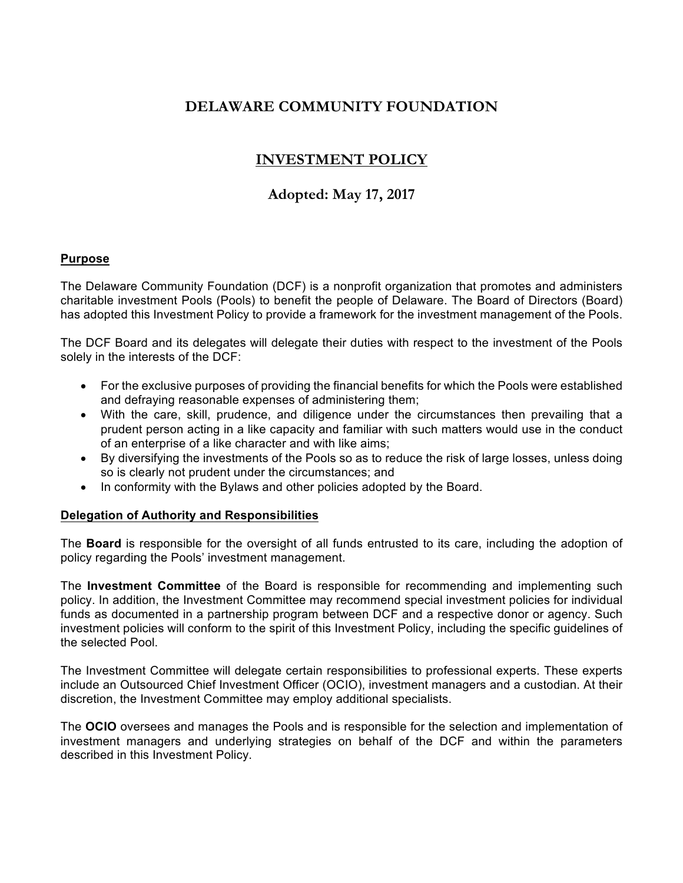# **DELAWARE COMMUNITY FOUNDATION**

# **INVESTMENT POLICY**

# **Adopted: May 17, 2017**

#### **Purpose**

The Delaware Community Foundation (DCF) is a nonprofit organization that promotes and administers charitable investment Pools (Pools) to benefit the people of Delaware. The Board of Directors (Board) has adopted this Investment Policy to provide a framework for the investment management of the Pools.

The DCF Board and its delegates will delegate their duties with respect to the investment of the Pools solely in the interests of the DCF:

- For the exclusive purposes of providing the financial benefits for which the Pools were established and defraying reasonable expenses of administering them;
- With the care, skill, prudence, and diligence under the circumstances then prevailing that a prudent person acting in a like capacity and familiar with such matters would use in the conduct of an enterprise of a like character and with like aims;
- By diversifying the investments of the Pools so as to reduce the risk of large losses, unless doing so is clearly not prudent under the circumstances; and
- In conformity with the Bylaws and other policies adopted by the Board.

## **Delegation of Authority and Responsibilities**

The **Board** is responsible for the oversight of all funds entrusted to its care, including the adoption of policy regarding the Pools' investment management.

The **Investment Committee** of the Board is responsible for recommending and implementing such policy. In addition, the Investment Committee may recommend special investment policies for individual funds as documented in a partnership program between DCF and a respective donor or agency. Such investment policies will conform to the spirit of this Investment Policy, including the specific guidelines of the selected Pool.

The Investment Committee will delegate certain responsibilities to professional experts. These experts include an Outsourced Chief Investment Officer (OCIO), investment managers and a custodian. At their discretion, the Investment Committee may employ additional specialists.

The **OCIO** oversees and manages the Pools and is responsible for the selection and implementation of investment managers and underlying strategies on behalf of the DCF and within the parameters described in this Investment Policy.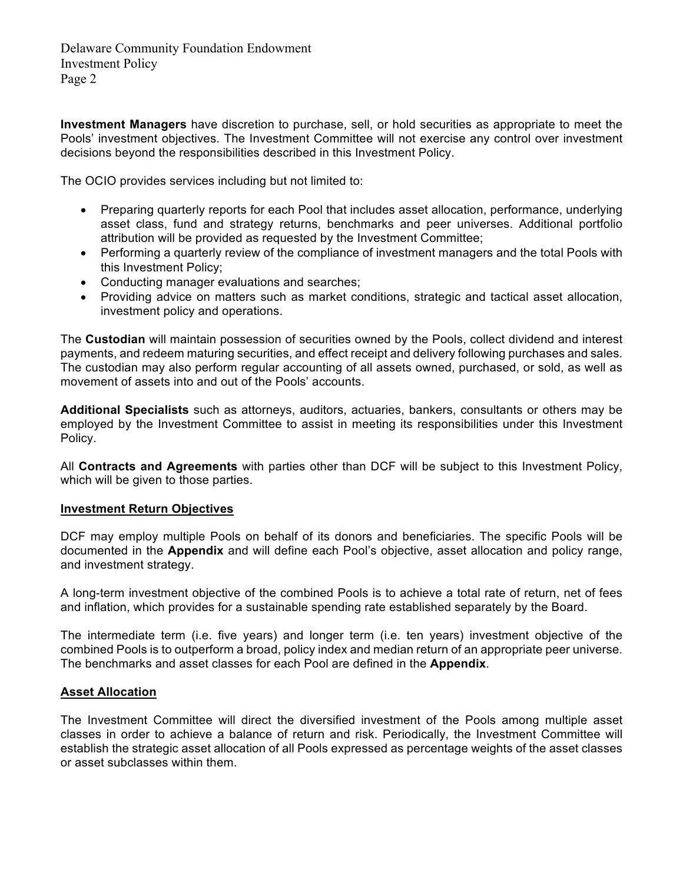**Investment Managers** have discretion to purchase, sell, or hold securities as appropriate to meet the Pools' investment objectives. The Investment Committee will not exercise any control over investment decisions beyond the responsibilities described in this Investment Policy.

The OCIO provides services including but not limited to:

- Preparing quarterly reports for each Pool that includes asset allocation, performance, underlying asset class, fund and strategy returns, benchmarks and peer universes. Additional portfolio attribution will be provided as requested by the Investment Committee;
- Performing a quarterly review of the compliance of investment managers and the total Pools with this Investment Policy;
- Conducting manager evaluations and searches;
- Providing advice on matters such as market conditions, strategic and tactical asset allocation, investment policy and operations.

The **Custodian** will maintain possession of securities owned by the Pools, collect dividend and interest payments, and redeem maturing securities, and effect receipt and delivery following purchases and sales. The custodian may also perform regular accounting of all assets owned, purchased, or sold, as well as movement of assets into and out of the Pools' accounts.

**Additional Specialists** such as attorneys, auditors, actuaries, bankers, consultants or others may be employed by the Investment Committee to assist in meeting its responsibilities under this Investment Policy.

All **Contracts and Agreements** with parties other than DCF will be subject to this Investment Policy, which will be given to those parties.

#### **Investment Return Objectives**

DCF may employ multiple Pools on behalf of its donors and beneficiaries. The specific Pools will be documented in the **Appendix** and will define each Pool's objective, asset allocation and policy range, and investment strategy.

A long-term investment objective of the combined Pools is to achieve a total rate of return, net of fees and inflation, which provides for a sustainable spending rate established separately by the Board.

The intermediate term (i.e. five years) and longer term (i.e. ten years) investment objective of the combined Pools is to outperform a broad, policy index and median return of an appropriate peer universe. The benchmarks and asset classes for each Pool are defined in the **Appendix**.

#### **Asset Allocation**

The Investment Committee will direct the diversified investment of the Pools among multiple asset classes in order to achieve a balance of return and risk. Periodically, the Investment Committee will establish the strategic asset allocation of all Pools expressed as percentage weights of the asset classes or asset subclasses within them.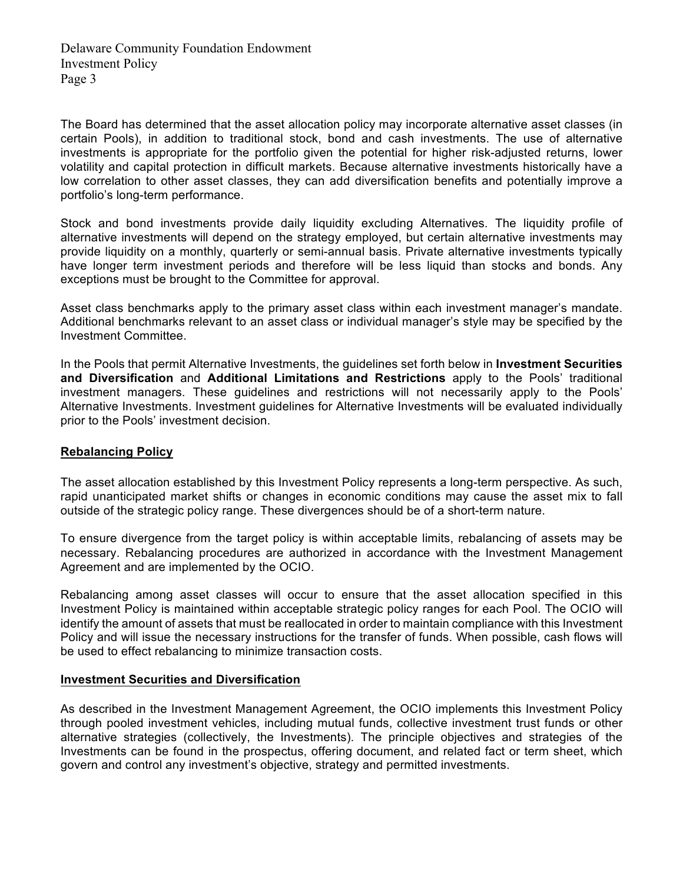The Board has determined that the asset allocation policy may incorporate alternative asset classes (in certain Pools), in addition to traditional stock, bond and cash investments. The use of alternative investments is appropriate for the portfolio given the potential for higher risk-adjusted returns, lower volatility and capital protection in difficult markets. Because alternative investments historically have a low correlation to other asset classes, they can add diversification benefits and potentially improve a portfolio's long-term performance.

Stock and bond investments provide daily liquidity excluding Alternatives. The liquidity profile of alternative investments will depend on the strategy employed, but certain alternative investments may provide liquidity on a monthly, quarterly or semi-annual basis. Private alternative investments typically have longer term investment periods and therefore will be less liquid than stocks and bonds. Any exceptions must be brought to the Committee for approval.

Asset class benchmarks apply to the primary asset class within each investment manager's mandate. Additional benchmarks relevant to an asset class or individual manager's style may be specified by the Investment Committee.

In the Pools that permit Alternative Investments, the guidelines set forth below in **Investment Securities and Diversification** and **Additional Limitations and Restrictions** apply to the Pools' traditional investment managers. These guidelines and restrictions will not necessarily apply to the Pools' Alternative Investments. Investment guidelines for Alternative Investments will be evaluated individually prior to the Pools' investment decision.

#### **Rebalancing Policy**

The asset allocation established by this Investment Policy represents a long-term perspective. As such, rapid unanticipated market shifts or changes in economic conditions may cause the asset mix to fall outside of the strategic policy range. These divergences should be of a short-term nature.

To ensure divergence from the target policy is within acceptable limits, rebalancing of assets may be necessary. Rebalancing procedures are authorized in accordance with the Investment Management Agreement and are implemented by the OCIO.

Rebalancing among asset classes will occur to ensure that the asset allocation specified in this Investment Policy is maintained within acceptable strategic policy ranges for each Pool. The OCIO will identify the amount of assets that must be reallocated in order to maintain compliance with this Investment Policy and will issue the necessary instructions for the transfer of funds. When possible, cash flows will be used to effect rebalancing to minimize transaction costs.

#### **Investment Securities and Diversification**

As described in the Investment Management Agreement, the OCIO implements this Investment Policy through pooled investment vehicles, including mutual funds, collective investment trust funds or other alternative strategies (collectively, the Investments). The principle objectives and strategies of the Investments can be found in the prospectus, offering document, and related fact or term sheet, which govern and control any investment's objective, strategy and permitted investments.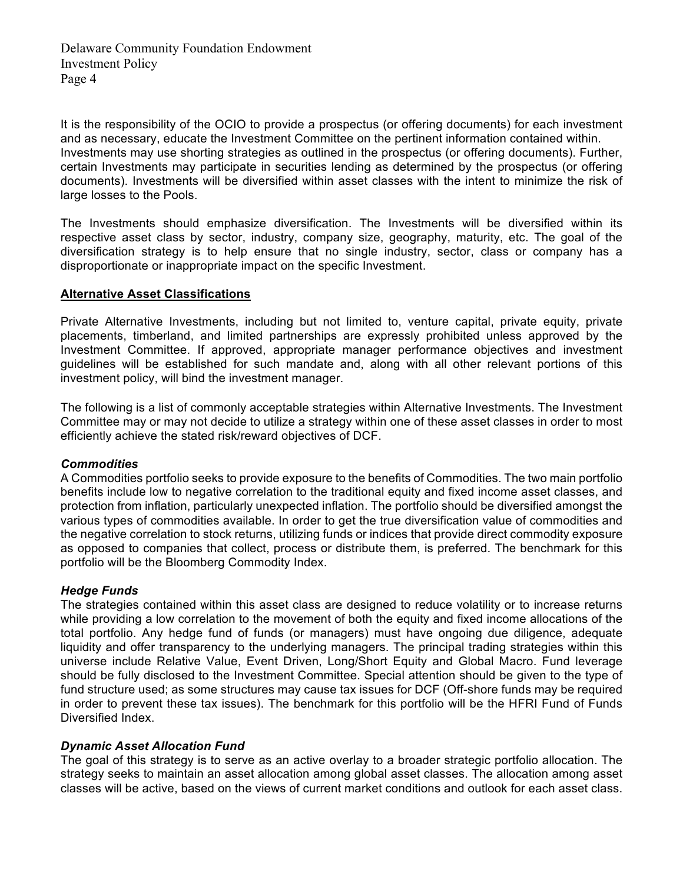It is the responsibility of the OCIO to provide a prospectus (or offering documents) for each investment and as necessary, educate the Investment Committee on the pertinent information contained within. Investments may use shorting strategies as outlined in the prospectus (or offering documents). Further, certain Investments may participate in securities lending as determined by the prospectus (or offering documents). Investments will be diversified within asset classes with the intent to minimize the risk of large losses to the Pools.

The Investments should emphasize diversification. The Investments will be diversified within its respective asset class by sector, industry, company size, geography, maturity, etc. The goal of the diversification strategy is to help ensure that no single industry, sector, class or company has a disproportionate or inappropriate impact on the specific Investment.

#### **Alternative Asset Classifications**

Private Alternative Investments, including but not limited to, venture capital, private equity, private placements, timberland, and limited partnerships are expressly prohibited unless approved by the Investment Committee. If approved, appropriate manager performance objectives and investment guidelines will be established for such mandate and, along with all other relevant portions of this investment policy, will bind the investment manager.

The following is a list of commonly acceptable strategies within Alternative Investments. The Investment Committee may or may not decide to utilize a strategy within one of these asset classes in order to most efficiently achieve the stated risk/reward objectives of DCF.

#### *Commodities*

A Commodities portfolio seeks to provide exposure to the benefits of Commodities. The two main portfolio benefits include low to negative correlation to the traditional equity and fixed income asset classes, and protection from inflation, particularly unexpected inflation. The portfolio should be diversified amongst the various types of commodities available. In order to get the true diversification value of commodities and the negative correlation to stock returns, utilizing funds or indices that provide direct commodity exposure as opposed to companies that collect, process or distribute them, is preferred. The benchmark for this portfolio will be the Bloomberg Commodity Index.

#### *Hedge Funds*

The strategies contained within this asset class are designed to reduce volatility or to increase returns while providing a low correlation to the movement of both the equity and fixed income allocations of the total portfolio. Any hedge fund of funds (or managers) must have ongoing due diligence, adequate liquidity and offer transparency to the underlying managers. The principal trading strategies within this universe include Relative Value, Event Driven, Long/Short Equity and Global Macro. Fund leverage should be fully disclosed to the Investment Committee. Special attention should be given to the type of fund structure used; as some structures may cause tax issues for DCF (Off-shore funds may be required in order to prevent these tax issues). The benchmark for this portfolio will be the HFRI Fund of Funds Diversified Index.

## *Dynamic Asset Allocation Fund*

The goal of this strategy is to serve as an active overlay to a broader strategic portfolio allocation. The strategy seeks to maintain an asset allocation among global asset classes. The allocation among asset classes will be active, based on the views of current market conditions and outlook for each asset class.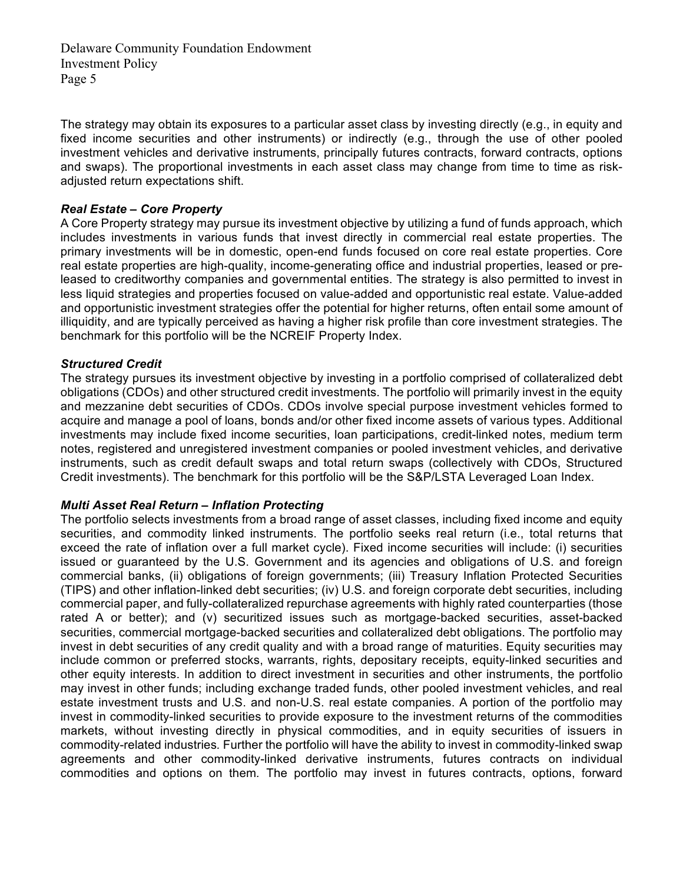The strategy may obtain its exposures to a particular asset class by investing directly (e.g., in equity and fixed income securities and other instruments) or indirectly (e.g., through the use of other pooled investment vehicles and derivative instruments, principally futures contracts, forward contracts, options and swaps). The proportional investments in each asset class may change from time to time as riskadjusted return expectations shift.

#### *Real Estate – Core Property*

A Core Property strategy may pursue its investment objective by utilizing a fund of funds approach, which includes investments in various funds that invest directly in commercial real estate properties. The primary investments will be in domestic, open-end funds focused on core real estate properties. Core real estate properties are high-quality, income-generating office and industrial properties, leased or preleased to creditworthy companies and governmental entities. The strategy is also permitted to invest in less liquid strategies and properties focused on value-added and opportunistic real estate. Value-added and opportunistic investment strategies offer the potential for higher returns, often entail some amount of illiquidity, and are typically perceived as having a higher risk profile than core investment strategies. The benchmark for this portfolio will be the NCREIF Property Index.

#### *Structured Credit*

The strategy pursues its investment objective by investing in a portfolio comprised of collateralized debt obligations (CDOs) and other structured credit investments. The portfolio will primarily invest in the equity and mezzanine debt securities of CDOs. CDOs involve special purpose investment vehicles formed to acquire and manage a pool of loans, bonds and/or other fixed income assets of various types. Additional investments may include fixed income securities, loan participations, credit-linked notes, medium term notes, registered and unregistered investment companies or pooled investment vehicles, and derivative instruments, such as credit default swaps and total return swaps (collectively with CDOs, Structured Credit investments). The benchmark for this portfolio will be the S&P/LSTA Leveraged Loan Index.

#### *Multi Asset Real Return – Inflation Protecting*

The portfolio selects investments from a broad range of asset classes, including fixed income and equity securities, and commodity linked instruments. The portfolio seeks real return (i.e., total returns that exceed the rate of inflation over a full market cycle). Fixed income securities will include: (i) securities issued or guaranteed by the U.S. Government and its agencies and obligations of U.S. and foreign commercial banks, (ii) obligations of foreign governments; (iii) Treasury Inflation Protected Securities (TIPS) and other inflation-linked debt securities; (iv) U.S. and foreign corporate debt securities, including commercial paper, and fully-collateralized repurchase agreements with highly rated counterparties (those rated A or better); and (v) securitized issues such as mortgage-backed securities, asset-backed securities, commercial mortgage-backed securities and collateralized debt obligations. The portfolio may invest in debt securities of any credit quality and with a broad range of maturities. Equity securities may include common or preferred stocks, warrants, rights, depositary receipts, equity-linked securities and other equity interests. In addition to direct investment in securities and other instruments, the portfolio may invest in other funds; including exchange traded funds, other pooled investment vehicles, and real estate investment trusts and U.S. and non-U.S. real estate companies. A portion of the portfolio may invest in commodity-linked securities to provide exposure to the investment returns of the commodities markets, without investing directly in physical commodities, and in equity securities of issuers in commodity-related industries*.* Further the portfolio will have the ability to invest in commodity-linked swap agreements and other commodity-linked derivative instruments, futures contracts on individual commodities and options on them*.* The portfolio may invest in futures contracts, options, forward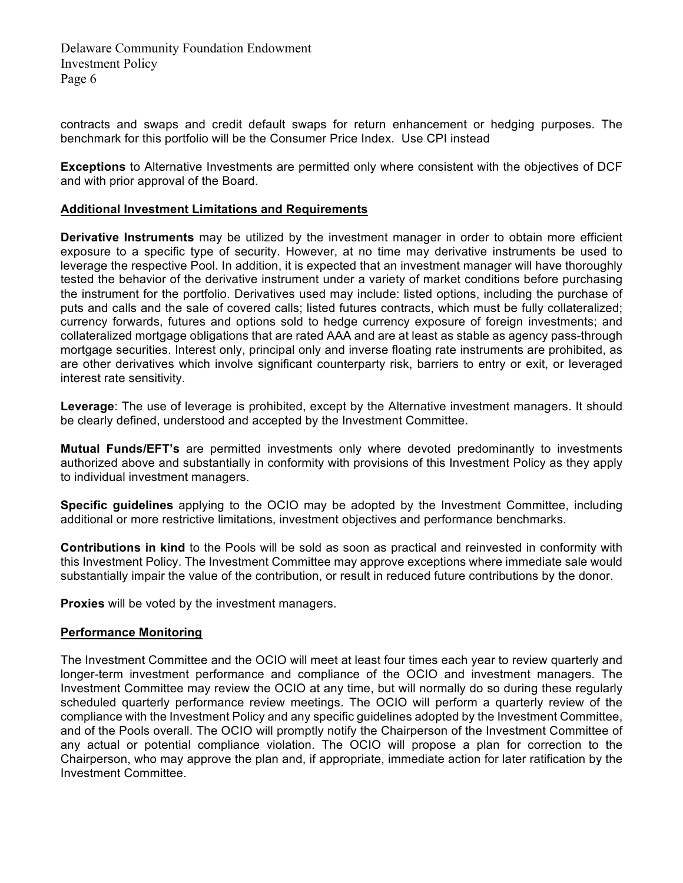contracts and swaps and credit default swaps for return enhancement or hedging purposes. The benchmark for this portfolio will be the Consumer Price Index. Use CPI instead

**Exceptions** to Alternative Investments are permitted only where consistent with the objectives of DCF and with prior approval of the Board.

#### **Additional Investment Limitations and Requirements**

**Derivative Instruments** may be utilized by the investment manager in order to obtain more efficient exposure to a specific type of security. However, at no time may derivative instruments be used to leverage the respective Pool. In addition, it is expected that an investment manager will have thoroughly tested the behavior of the derivative instrument under a variety of market conditions before purchasing the instrument for the portfolio. Derivatives used may include: listed options, including the purchase of puts and calls and the sale of covered calls; listed futures contracts, which must be fully collateralized; currency forwards, futures and options sold to hedge currency exposure of foreign investments; and collateralized mortgage obligations that are rated AAA and are at least as stable as agency pass-through mortgage securities. Interest only, principal only and inverse floating rate instruments are prohibited, as are other derivatives which involve significant counterparty risk, barriers to entry or exit, or leveraged interest rate sensitivity.

**Leverage**: The use of leverage is prohibited, except by the Alternative investment managers. It should be clearly defined, understood and accepted by the Investment Committee.

**Mutual Funds/EFT's** are permitted investments only where devoted predominantly to investments authorized above and substantially in conformity with provisions of this Investment Policy as they apply to individual investment managers.

**Specific guidelines** applying to the OCIO may be adopted by the Investment Committee, including additional or more restrictive limitations, investment objectives and performance benchmarks.

**Contributions in kind** to the Pools will be sold as soon as practical and reinvested in conformity with this Investment Policy. The Investment Committee may approve exceptions where immediate sale would substantially impair the value of the contribution, or result in reduced future contributions by the donor.

**Proxies** will be voted by the investment managers.

#### **Performance Monitoring**

The Investment Committee and the OCIO will meet at least four times each year to review quarterly and longer-term investment performance and compliance of the OCIO and investment managers. The Investment Committee may review the OCIO at any time, but will normally do so during these regularly scheduled quarterly performance review meetings. The OCIO will perform a quarterly review of the compliance with the Investment Policy and any specific guidelines adopted by the Investment Committee, and of the Pools overall. The OCIO will promptly notify the Chairperson of the Investment Committee of any actual or potential compliance violation. The OCIO will propose a plan for correction to the Chairperson, who may approve the plan and, if appropriate, immediate action for later ratification by the Investment Committee.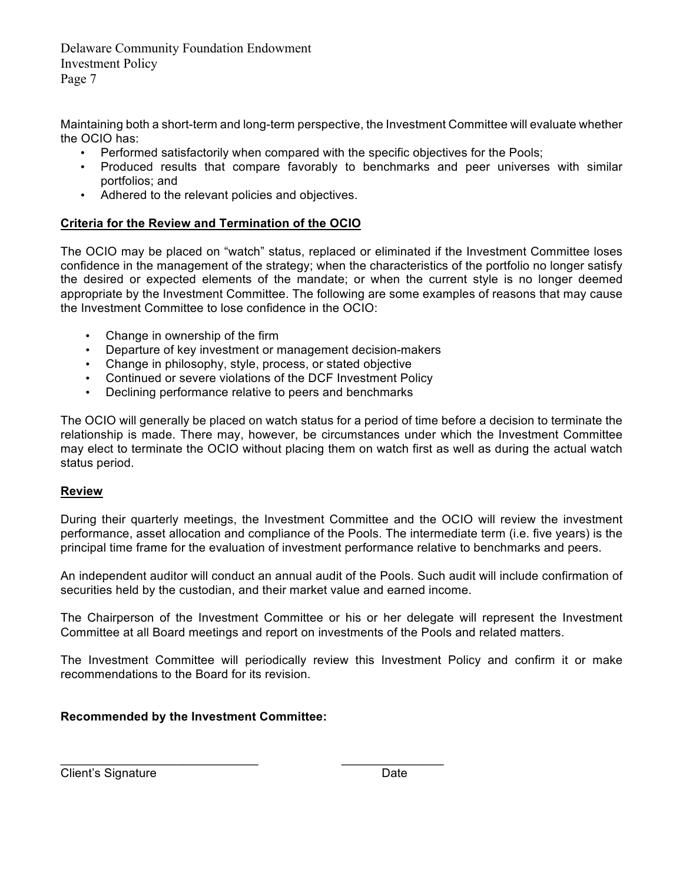Maintaining both a short-term and long-term perspective, the Investment Committee will evaluate whether the OCIO has:

- Performed satisfactorily when compared with the specific objectives for the Pools;
- Produced results that compare favorably to benchmarks and peer universes with similar portfolios; and
- Adhered to the relevant policies and objectives.

## **Criteria for the Review and Termination of the OCIO**

The OCIO may be placed on "watch" status, replaced or eliminated if the Investment Committee loses confidence in the management of the strategy; when the characteristics of the portfolio no longer satisfy the desired or expected elements of the mandate; or when the current style is no longer deemed appropriate by the Investment Committee. The following are some examples of reasons that may cause the Investment Committee to lose confidence in the OCIO:

- Change in ownership of the firm
- Departure of key investment or management decision-makers
- Change in philosophy, style, process, or stated objective
- Continued or severe violations of the DCF Investment Policy
- Declining performance relative to peers and benchmarks

The OCIO will generally be placed on watch status for a period of time before a decision to terminate the relationship is made. There may, however, be circumstances under which the Investment Committee may elect to terminate the OCIO without placing them on watch first as well as during the actual watch status period.

## **Review**

During their quarterly meetings, the Investment Committee and the OCIO will review the investment performance, asset allocation and compliance of the Pools. The intermediate term (i.e. five years) is the principal time frame for the evaluation of investment performance relative to benchmarks and peers.

An independent auditor will conduct an annual audit of the Pools. Such audit will include confirmation of securities held by the custodian, and their market value and earned income.

The Chairperson of the Investment Committee or his or her delegate will represent the Investment Committee at all Board meetings and report on investments of the Pools and related matters.

The Investment Committee will periodically review this Investment Policy and confirm it or make recommendations to the Board for its revision.

## **Recommended by the Investment Committee:**

Client's Signature Date Date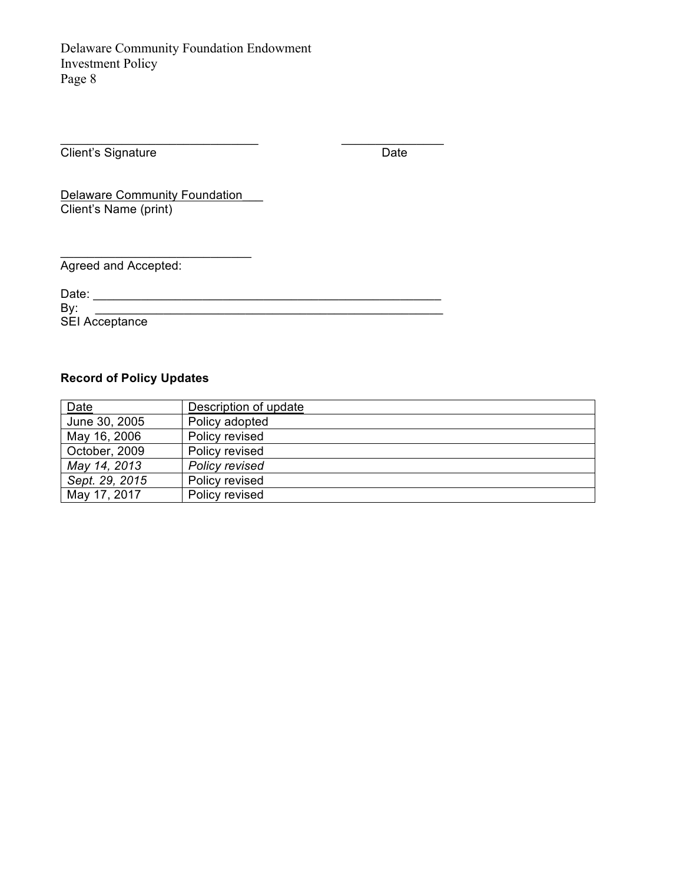Client's Signature Date

Delaware Community Foundation Client's Name (print)

Agreed and Accepted:

Date: \_\_\_\_\_\_\_\_\_\_\_\_\_\_\_\_\_\_\_\_\_\_\_\_\_\_\_\_\_\_\_\_\_\_\_\_\_\_\_\_\_\_\_\_\_\_\_\_\_\_\_

By: \_\_\_\_\_\_\_\_\_\_\_\_\_\_\_\_\_\_\_\_\_\_\_\_\_\_\_\_\_\_\_\_\_\_\_\_\_\_\_\_\_\_\_\_\_\_\_\_\_\_\_ SEI Acceptance

# **Record of Policy Updates**

| Date           | Description of update |
|----------------|-----------------------|
| June 30, 2005  | Policy adopted        |
| May 16, 2006   | Policy revised        |
| October, 2009  | Policy revised        |
| May 14, 2013   | Policy revised        |
| Sept. 29, 2015 | Policy revised        |
| May 17, 2017   | Policy revised        |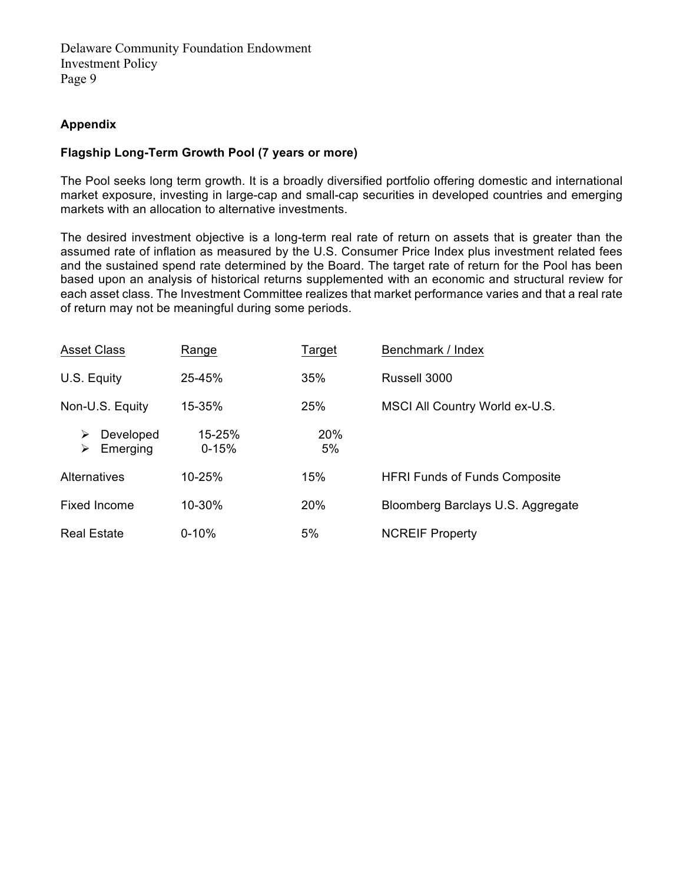## **Appendix**

#### **Flagship Long-Term Growth Pool (7 years or more)**

The Pool seeks long term growth. It is a broadly diversified portfolio offering domestic and international market exposure, investing in large-cap and small-cap securities in developed countries and emerging markets with an allocation to alternative investments.

The desired investment objective is a long-term real rate of return on assets that is greater than the assumed rate of inflation as measured by the U.S. Consumer Price Index plus investment related fees and the sustained spend rate determined by the Board. The target rate of return for the Pool has been based upon an analysis of historical returns supplemented with an economic and structural review for each asset class. The Investment Committee realizes that market performance varies and that a real rate of return may not be meaningful during some periods.

| <b>Asset Class</b>              | Range                   | Target           | Benchmark / Index                    |  |
|---------------------------------|-------------------------|------------------|--------------------------------------|--|
| U.S. Equity                     | 25-45%                  | 35%              | Russell 3000                         |  |
| Non-U.S. Equity                 | 15-35%                  | 25%              | MSCI All Country World ex-U.S.       |  |
| Developed<br>⋗<br>Emerging<br>⋗ | $15 - 25%$<br>$0 - 15%$ | <b>20%</b><br>5% |                                      |  |
| <b>Alternatives</b>             | 10-25%                  | 15%              | <b>HFRI Funds of Funds Composite</b> |  |
| <b>Fixed Income</b>             | 10-30%                  | <b>20%</b>       | Bloomberg Barclays U.S. Aggregate    |  |
| <b>Real Estate</b>              | $0 - 10%$               | 5%               | <b>NCREIF Property</b>               |  |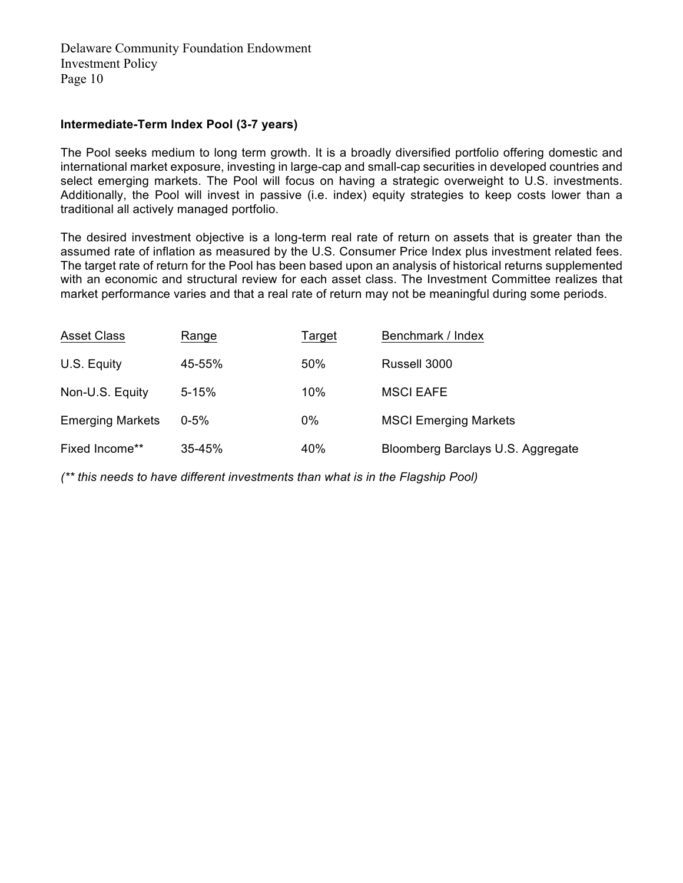#### **Intermediate-Term Index Pool (3-7 years)**

The Pool seeks medium to long term growth. It is a broadly diversified portfolio offering domestic and international market exposure, investing in large-cap and small-cap securities in developed countries and select emerging markets. The Pool will focus on having a strategic overweight to U.S. investments. Additionally, the Pool will invest in passive (i.e. index) equity strategies to keep costs lower than a traditional all actively managed portfolio.

The desired investment objective is a long-term real rate of return on assets that is greater than the assumed rate of inflation as measured by the U.S. Consumer Price Index plus investment related fees. The target rate of return for the Pool has been based upon an analysis of historical returns supplemented with an economic and structural review for each asset class. The Investment Committee realizes that market performance varies and that a real rate of return may not be meaningful during some periods.

| <b>Asset Class</b>      | Range      | <b>Target</b> | Benchmark / Index                 |  |
|-------------------------|------------|---------------|-----------------------------------|--|
| U.S. Equity             | 45-55%     | 50%           | Russell 3000                      |  |
| Non-U.S. Equity         | $5 - 15%$  | 10%           | <b>MSCI EAFE</b>                  |  |
| <b>Emerging Markets</b> | $0 - 5\%$  | 0%            | <b>MSCI Emerging Markets</b>      |  |
| Fixed Income**          | $35 - 45%$ | 40%           | Bloomberg Barclays U.S. Aggregate |  |

*(\*\* this needs to have different investments than what is in the Flagship Pool)*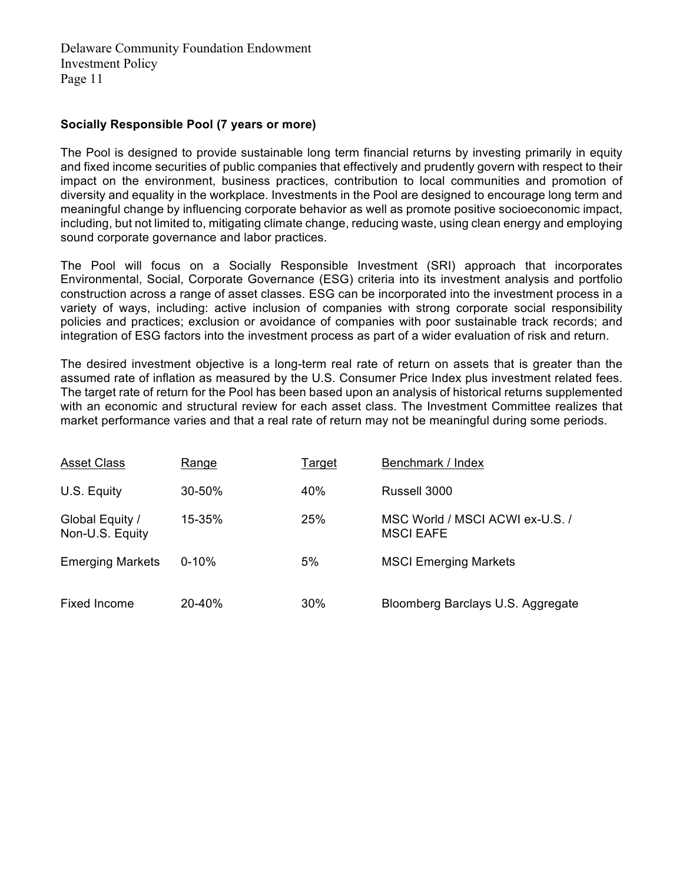#### **Socially Responsible Pool (7 years or more)**

The Pool is designed to provide sustainable long term financial returns by investing primarily in equity and fixed income securities of public companies that effectively and prudently govern with respect to their impact on the environment, business practices, contribution to local communities and promotion of diversity and equality in the workplace. Investments in the Pool are designed to encourage long term and meaningful change by influencing corporate behavior as well as promote positive socioeconomic impact, including, but not limited to, mitigating climate change, reducing waste, using clean energy and employing sound corporate governance and labor practices.

The Pool will focus on a Socially Responsible Investment (SRI) approach that incorporates Environmental, Social, Corporate Governance (ESG) criteria into its investment analysis and portfolio construction across a range of asset classes. ESG can be incorporated into the investment process in a variety of ways, including: active inclusion of companies with strong corporate social responsibility policies and practices; exclusion or avoidance of companies with poor sustainable track records; and integration of ESG factors into the investment process as part of a wider evaluation of risk and return.

The desired investment objective is a long-term real rate of return on assets that is greater than the assumed rate of inflation as measured by the U.S. Consumer Price Index plus investment related fees. The target rate of return for the Pool has been based upon an analysis of historical returns supplemented with an economic and structural review for each asset class. The Investment Committee realizes that market performance varies and that a real rate of return may not be meaningful during some periods.

| <b>Asset Class</b>                 | Range      | Target | Benchmark / Index                                   |
|------------------------------------|------------|--------|-----------------------------------------------------|
| U.S. Equity                        | $30 - 50%$ | 40%    | Russell 3000                                        |
| Global Equity /<br>Non-U.S. Equity | 15-35%     | 25%    | MSC World / MSCI ACWI ex-U.S. /<br><b>MSCI EAFE</b> |
| <b>Emerging Markets</b>            | $0 - 10%$  | 5%     | <b>MSCI Emerging Markets</b>                        |
| Fixed Income                       | 20-40%     | 30%    | Bloomberg Barclays U.S. Aggregate                   |